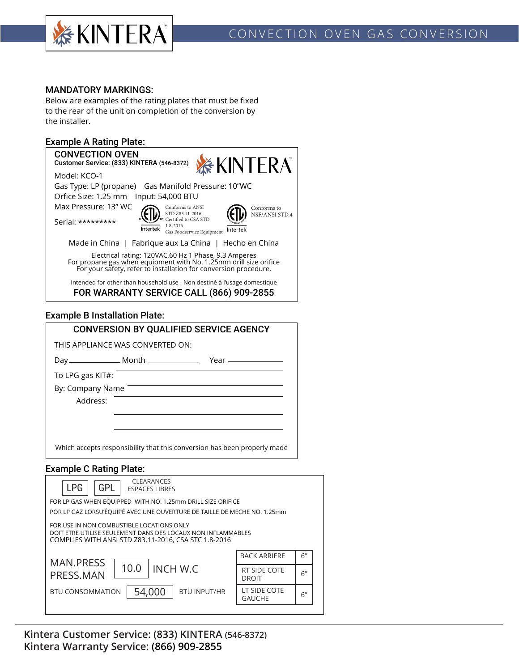

## MANDATORY MARKINGS:

Below are examples of the rating plates that must be fixed to the rear of the unit on completion of the conversion by the installer.

# Example A Rating Plate:

| <b>CONVECTION OVEN</b><br><b>. KINTERA</b><br>Customer Service: (833) KINTERA (546-8372)                                                                                                      |  |  |
|-----------------------------------------------------------------------------------------------------------------------------------------------------------------------------------------------|--|--|
| Model: KCO-1                                                                                                                                                                                  |  |  |
| Gas Manifold Pressure: 10"WC<br>Gas Type: LP (propane)                                                                                                                                        |  |  |
| Orfice Size: 1.25 mm<br>Input: 54,000 BTU                                                                                                                                                     |  |  |
| Max Pressure: 13" WC<br>Conforms to ANSI<br>Conforms to<br>STD Z83.11-2016<br>NSF/ANSI STD.4                                                                                                  |  |  |
| Certified to CSA STD<br>Serial: *********<br>1.8-2016<br>Intertek<br>Intertek<br>Gas Foodservice Equipment                                                                                    |  |  |
| Made in China   Fabrique aux La China   Hecho en China                                                                                                                                        |  |  |
| Electrical rating: 120VAC,60 Hz 1 Phase, 9.3 Amperes<br>For propane gas when equipment with No. 1.25mm drill size orifice<br>For your safety, refer to installation for conversion procedure. |  |  |
| Intended for other than household use - Non destiné à l'usage domestique                                                                                                                      |  |  |
| FOR WARRANTY SERVICE CALL (866) 909-2855                                                                                                                                                      |  |  |

### Example B Installation Plate:

|                                |          |                                                             |  | <b>CONVERSION BY QUALIFIED SERVICE AGENCY</b>                            |  |
|--------------------------------|----------|-------------------------------------------------------------|--|--------------------------------------------------------------------------|--|
|                                |          | THIS APPLIANCE WAS CONVERTED ON:                            |  |                                                                          |  |
|                                |          |                                                             |  |                                                                          |  |
| To LPG gas KIT#:               |          |                                                             |  |                                                                          |  |
| By: Company Name               |          |                                                             |  |                                                                          |  |
|                                | Address: |                                                             |  |                                                                          |  |
|                                |          |                                                             |  |                                                                          |  |
|                                |          |                                                             |  |                                                                          |  |
|                                |          |                                                             |  | Which accepts responsibility that this conversion has been properly made |  |
| <b>Example C Rating Plate:</b> |          |                                                             |  |                                                                          |  |
| <b>LPG</b>                     | GPL      | <b>CLEARANCES</b><br><b>ESPACES LIBRES</b>                  |  |                                                                          |  |
|                                |          | FOR LP GAS WHEN EQUIPPED WITH NO. 1.25mm DRILL SIZE ORIFICE |  |                                                                          |  |
|                                |          |                                                             |  | POR LP GAZ LORSU'ÉQUIPÉ AVEC UNE OUVERTURE DE TAILLE DE MECHE NO. 1.25mm |  |
|                                |          | FOR USE IN NON COMBUSTIBLE LOCATIONS ONLY                   |  | DOIT ETRE LITILICE CELII EMENT DANC DEC LOCALIY NON INELAMMARI EC        |  |

DOIT ETRE UTILISE SEULEMENT DANS DES LOCAUX NON INFLAMMABLES COMPLIES WITH ANSI STD Z83.11-2016, CSA STC 1.8-2016

| MAN.PRESS                                                | <b>BACK ARRIERE</b>           | 6"  |
|----------------------------------------------------------|-------------------------------|-----|
| 10.0<br>INCH W.C<br>PRESS.MAN                            | RT SIDE COTE<br><b>DROIT</b>  | 6'' |
| 54,000<br><b>BTU INPUT/HR</b><br><b>BTU CONSOMMATION</b> | LT SIDE COTE<br><b>GAUCHE</b> | 6'' |
|                                                          |                               |     |

**Kintera Customer Service: (833) KINTERA (546-8372) Kintera Warranty Service: (866) 909-2855**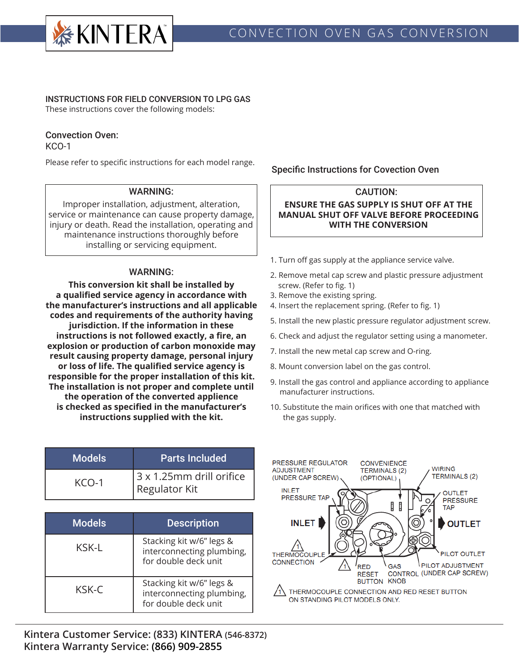

# INSTRUCTIONS FOR FIELD CONVERSION TO LPG GAS

These instructions cover the following models:

## Convection Oven:

KCO-1

Please refer to specific instructions for each model range.

#### WARNING:

Improper installation, adjustment, alteration, service or maintenance can cause property damage, injury or death. Read the installation, operating and maintenance instructions thoroughly before installing or servicing equipment.

#### WARNING:

**This conversion kit shall be installed by a qualified service agency in accordance with the manufacturer's instructions and all applicable codes and requirements of the authority having jurisdiction. If the information in these instructions is not followed exactly, a fire, an explosion or production of carbon monoxide may result causing property damage, personal injury or loss of life. The qualified service agency is responsible for the proper installation of this kit. The installation is not proper and complete until the operation of the converted applience is checked as specified in the manufacturer's instructions supplied with the kit.**

| <b>Models</b> | <b>Parts Included</b>                             |
|---------------|---------------------------------------------------|
| KCO-1         | $3 \times 1.25$ mm drill orifice<br>Regulator Kit |

| <b>Models</b> | <b>Description</b>                                                            |
|---------------|-------------------------------------------------------------------------------|
| KSK-I         | Stacking kit w/6" legs &<br>interconnecting plumbing,<br>for double deck unit |
| KSK-C         | Stacking kit w/6" legs &<br>interconnecting plumbing,<br>for double deck unit |

# Specific Instructions for Covection Oven

## CAUTION:

**ENSURE THE GAS SUPPLY IS SHUT OFF AT THE MANUAL SHUT OFF VALVE BEFORE PROCEEDING WITH THE CONVERSION**

- 1. Turn off gas supply at the appliance service valve.
- 2. Remove metal cap screw and plastic pressure adjustment screw. (Refer to fig. 1)
- 3. Remove the existing spring.
- 4. Insert the replacement spring. (Refer to fig. 1)
- 5. Install the new plastic pressure regulator adjustment screw.
- 6. Check and adjust the regulator setting using a manometer.
- 7. Install the new metal cap screw and O-ring.
- 8. Mount conversion label on the gas control.
- 9. Install the gas control and appliance according to appliance manufacturer instructions.
- 10. Substitute the main orifices with one that matched with the gas supply.